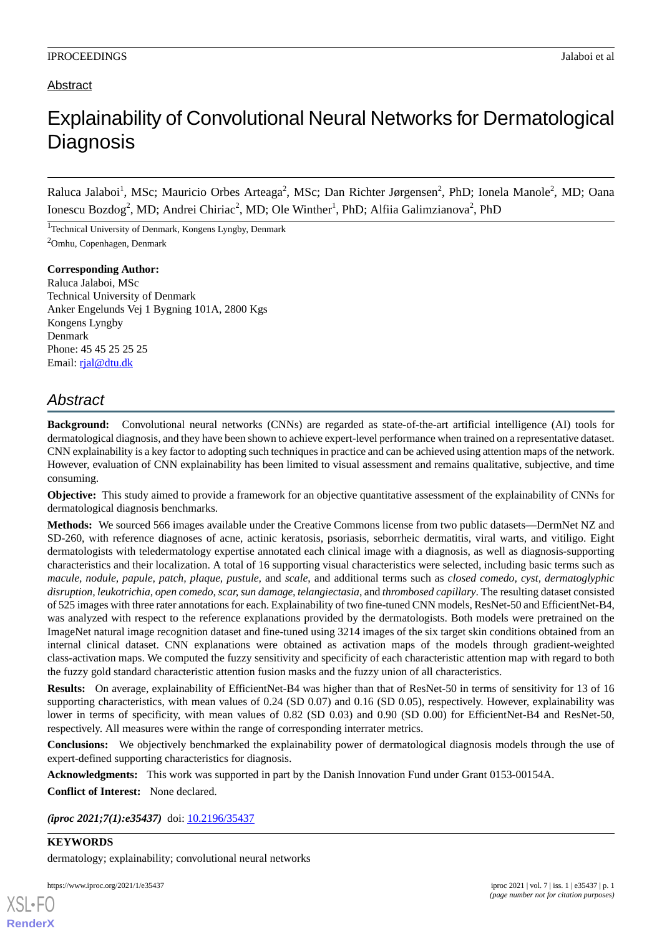### Abstract

# Explainability of Convolutional Neural Networks for Dermatological **Diagnosis**

Raluca Jalaboi<sup>1</sup>, MSc; Mauricio Orbes Arteaga<sup>2</sup>, MSc; Dan Richter Jørgensen<sup>2</sup>, PhD; Ionela Manole<sup>2</sup>, MD; Oana Ionescu Bozdog<sup>2</sup>, MD; Andrei Chiriac<sup>2</sup>, MD; Ole Winther<sup>1</sup>, PhD; Alfiia Galimzianova<sup>2</sup>, PhD

<sup>1</sup>Technical University of Denmark, Kongens Lyngby, Denmark <sup>2</sup>Omhu, Copenhagen, Denmark

**Corresponding Author:** Raluca Jalaboi, MSc Technical University of Denmark Anker Engelunds Vej 1 Bygning 101A, 2800 Kgs Kongens Lyngby Denmark Phone: 45 45 25 25 25 Email: [rjal@dtu.dk](mailto:rjal@dtu.dk)

## *Abstract*

**Background:** Convolutional neural networks (CNNs) are regarded as state-of-the-art artificial intelligence (AI) tools for dermatological diagnosis, and they have been shown to achieve expert-level performance when trained on a representative dataset. CNN explainability is a key factor to adopting such techniques in practice and can be achieved using attention maps of the network. However, evaluation of CNN explainability has been limited to visual assessment and remains qualitative, subjective, and time consuming.

**Objective:** This study aimed to provide a framework for an objective quantitative assessment of the explainability of CNNs for dermatological diagnosis benchmarks.

**Methods:** We sourced 566 images available under the Creative Commons license from two public datasets—DermNet NZ and SD-260, with reference diagnoses of acne, actinic keratosis, psoriasis, seborrheic dermatitis, viral warts, and vitiligo. Eight dermatologists with teledermatology expertise annotated each clinical image with a diagnosis, as well as diagnosis-supporting characteristics and their localization. A total of 16 supporting visual characteristics were selected, including basic terms such as *macule, nodule, papule, patch, plaque, pustule,* and *scale*, and additional terms such as *closed comedo, cyst, dermatoglyphic disruption, leukotrichia, open comedo, scar, sun damage, telangiectasia*, and *thrombosed capillary*. The resulting dataset consisted of 525 images with three rater annotations for each. Explainability of two fine-tuned CNN models, ResNet-50 and EfficientNet-B4, was analyzed with respect to the reference explanations provided by the dermatologists. Both models were pretrained on the ImageNet natural image recognition dataset and fine-tuned using 3214 images of the six target skin conditions obtained from an internal clinical dataset. CNN explanations were obtained as activation maps of the models through gradient-weighted class-activation maps. We computed the fuzzy sensitivity and specificity of each characteristic attention map with regard to both the fuzzy gold standard characteristic attention fusion masks and the fuzzy union of all characteristics.

**Results:** On average, explainability of EfficientNet-B4 was higher than that of ResNet-50 in terms of sensitivity for 13 of 16 supporting characteristics, with mean values of 0.24 (SD 0.07) and 0.16 (SD 0.05), respectively. However, explainability was lower in terms of specificity, with mean values of 0.82 (SD 0.03) and 0.90 (SD 0.00) for EfficientNet-B4 and ResNet-50, respectively. All measures were within the range of corresponding interrater metrics.

**Conclusions:** We objectively benchmarked the explainability power of dermatological diagnosis models through the use of expert-defined supporting characteristics for diagnosis.

**Acknowledgments:** This work was supported in part by the Danish Innovation Fund under Grant 0153-00154A.

**Conflict of Interest:** None declared.

*(iproc 2021;7(1):e35437)* doi: [10.2196/35437](http://dx.doi.org/10.2196/35437)

#### **KEYWORDS**

[XSL](http://www.w3.org/Style/XSL)•FO **[RenderX](http://www.renderx.com/)**

dermatology; explainability; convolutional neural networks

https://www.iproc.org/2021/1/e35437 iproc 2021 | vol. 7 | iss. 1 | e35437 | p. 1